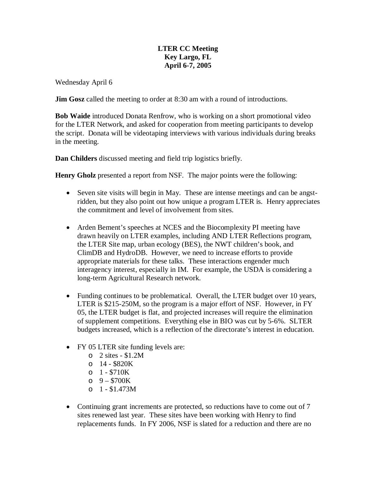## **LTER CC Meeting Key Largo, FL April 6-7, 2005**

Wednesday April 6

**Jim Gosz** called the meeting to order at 8:30 am with a round of introductions.

**Bob Waide** introduced Donata Renfrow, who is working on a short promotional video for the LTER Network, and asked for cooperation from meeting participants to develop the script. Donata will be videotaping interviews with various individuals during breaks in the meeting.

**Dan Childers** discussed meeting and field trip logistics briefly.

**Henry Gholz** presented a report from NSF. The major points were the following:

- Seven site visits will begin in May. These are intense meetings and can be angstridden, but they also point out how unique a program LTER is. Henry appreciates the commitment and level of involvement from sites.
- Arden Bement's speeches at NCES and the Biocomplexity PI meeting have drawn heavily on LTER examples, including AND LTER Reflections program, the LTER Site map, urban ecology (BES), the NWT children's book, and ClimDB and HydroDB. However, we need to increase efforts to provide appropriate materials for these talks. These interactions engender much interagency interest, especially in IM. For example, the USDA is considering a long-term Agricultural Research network.
- Funding continues to be problematical. Overall, the LTER budget over 10 years, LTER is \$215-250M, so the program is a major effort of NSF. However, in FY 05, the LTER budget is flat, and projected increases will require the elimination of supplement competitions. Everything else in BIO was cut by 5-6%. SLTER budgets increased, which is a reflection of the directorate's interest in education.
- FY 05 LTER site funding levels are:
	- $\circ$  2 sites \$1.2M
	- $O = 14 $820K$
	- $o \quad 1 $710K$
	- $0.9 $700K$
	- $O_1 $1.473M$
- Continuing grant increments are protected, so reductions have to come out of 7 sites renewed last year. These sites have been working with Henry to find replacements funds. In FY 2006, NSF is slated for a reduction and there are no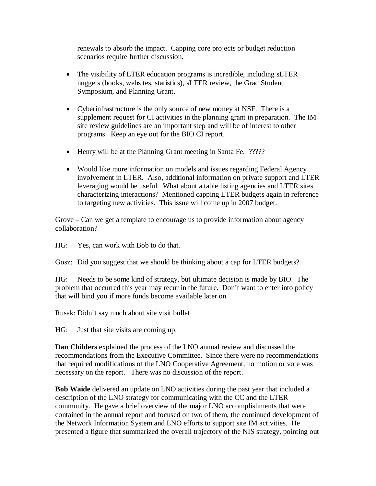renewals to absorb the impact. Capping core projects or budget reduction scenarios require further discussion.

- The visibility of LTER education programs is incredible, including sLTER nuggets (books, websites, statistics), sLTER review, the Grad Student Symposium, and Planning Grant.
- Cyberinfrastructure is the only source of new money at NSF. There is a supplement request for CI activities in the planning grant in preparation. The IM site review guidelines are an important step and will be of interest to other programs. Keep an eye out for the BIO CI report.
- Henry will be at the Planning Grant meeting in Santa Fe. ?????
- Would like more information on models and issues regarding Federal Agency involvement in LTER. Also, additional information on private support and LTER leveraging would be useful. What about a table listing agencies and LTER sites characterizing interactions? Mentioned capping LTER budgets again in reference to targeting new activities. This issue will come up in 2007 budget.

Grove – Can we get a template to encourage us to provide information about agency collaboration?

HG: Yes, can work with Bob to do that.

Gosz: Did you suggest that we should be thinking about a cap for LTER budgets?

HG: Needs to be some kind of strategy, but ultimate decision is made by BIO. The problem that occurred this year may recur in the future. Don't want to enter into policy that will bind you if more funds become available later on.

Rusak: Didn't say much about site visit bullet

HG: Just that site visits are coming up.

**Dan Childers** explained the process of the LNO annual review and discussed the recommendations from the Executive Committee. Since there were no recommendations that required modifications of the LNO Cooperative Agreement, no motion or vote was necessary on the report. There was no discussion of the report.

**Bob Waide** delivered an update on LNO activities during the past year that included a description of the LNO strategy for communicating with the CC and the LTER community. He gave a brief overview of the major LNO accomplishments that were contained in the annual report and focused on two of them, the continued development of the Network Information System and LNO efforts to support site IM activities. He presented a figure that summarized the overall trajectory of the NIS strategy, pointing out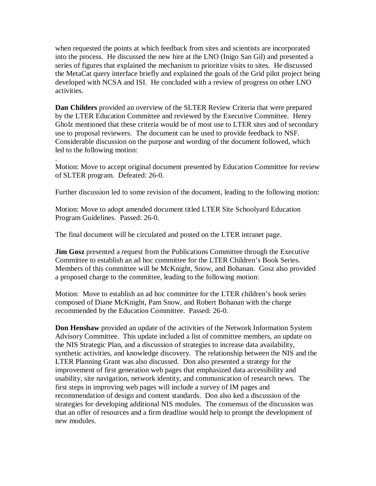when requested the points at which feedback from sites and scientists are incorporated into the process. He discussed the new hire at the LNO (Inigo San Gil) and presented a series of figures that explained the mechanism to prioritize visits to sites. He discussed the MetaCat query interface briefly and explained the goals of the Grid pilot project being developed with NCSA and ISI. He concluded with a review of progress on other LNO activities.

**Dan Childers** provided an overview of the SLTER Review Criteria that were prepared by the LTER Education Committee and reviewed by the Executive Committee. Henry Gholz mentioned that these criteria would be of most use to LTER sites and of secondary use to proposal reviewers. The document can be used to provide feedback to NSF. Considerable discussion on the purpose and wording of the document followed, which led to the following motion:

Motion: Move to accept original document presented by Education Committee for review of SLTER program. Defeated: 26-0.

Further discussion led to some revision of the document, leading to the following motion:

Motion: Move to adopt amended document titled LTER Site Schoolyard Education Program Guidelines. Passed: 26-0.

The final document will be circulated and posted on the LTER intranet page.

.

**Jim Gosz** presented a request from the Publications Committee through the Executive Committee to establish an ad hoc committee for the LTER Children's Book Series. Members of this committee will be McKnight, Snow, and Bohanan. Gosz also provided a proposed charge to the committee, leading to the following motion:

Motion: Move to establish an ad hoc committee for the LTER children's book series composed of Diane McKnight, Pam Snow, and Robert Bohanan with the charge recommended by the Education Committee. Passed: 26-0.

**Don Henshaw** provided an update of the activities of the Network Information System Advisory Committee. This update included a list of committee members, an update on the NIS Strategic Plan, and a discussion of strategies to increase data availability, synthetic activities, and knowledge discovery. The relationship between the NIS and the LTER Planning Grant was also discussed. Don also presented a strategy for the improvement of first generation web pages that emphasized data accessibility and usability, site navigation, network identity, and communication of research news. The first steps in improving web pages will include a survey of IM pages and recommendation of design and content standards. Don also ked a discussion of the strategies for developing additional NIS modules. The consensus of the discussion was that an offer of resources and a firm deadline would help to prompt the development of new modules.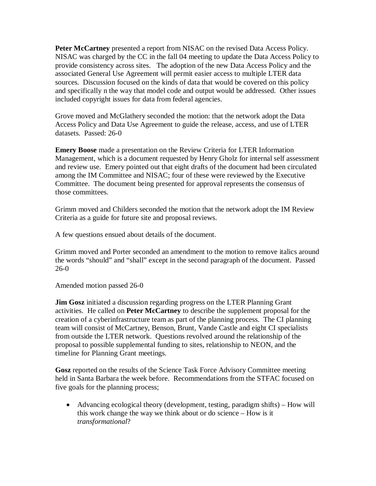**Peter McCartney** presented a report from NISAC on the revised Data Access Policy. NISAC was charged by the CC in the fall 04 meeting to update the Data Access Policy to provide consistency across sites. The adoption of the new Data Access Policy and the associated General Use Agreement will permit easier access to multiple LTER data sources. Discussion focused on the kinds of data that would be covered on this policy and specifically n the way that model code and output would be addressed. Other issues included copyright issues for data from federal agencies.

Grove moved and McGlathery seconded the motion: that the network adopt the Data Access Policy and Data Use Agreement to guide the release, access, and use of LTER datasets. Passed: 26-0

**Emery Boose** made a presentation on the Review Criteria for LTER Information Management, which is a document requested by Henry Gholz for internal self assessment and review use. Emery pointed out that eight drafts of the document had been circulated among the IM Committee and NISAC; four of these were reviewed by the Executive Committee. The document being presented for approval represents the consensus of those committees.

Grimm moved and Childers seconded the motion that the network adopt the IM Review Criteria as a guide for future site and proposal reviews.

A few questions ensued about details of the document.

Grimm moved and Porter seconded an amendment to the motion to remove italics around the words "should" and "shall" except in the second paragraph of the document. Passed 26-0

Amended motion passed 26-0

**Jim Gosz** initiated a discussion regarding progress on the LTER Planning Grant activities. He called on **Peter McCartney** to describe the supplement proposal for the creation of a cyberinfrastructure team as part of the planning process. The CI planning team will consist of McCartney, Benson, Brunt, Vande Castle and eight CI specialists from outside the LTER network. Questions revolved around the relationship of the proposal to possible supplemental funding to sites, relationship to NEON, and the timeline for Planning Grant meetings.

**Gosz** reported on the results of the Science Task Force Advisory Committee meeting held in Santa Barbara the week before. Recommendations from the STFAC focused on five goals for the planning process;

• Advancing ecological theory (development, testing, paradigm shifts) – How will this work change the way we think about or do science – How is it *transformational*?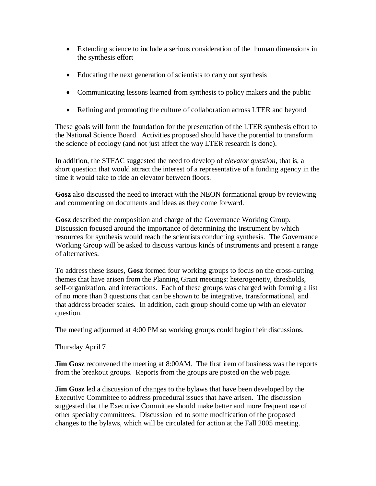- Extending science to include a serious consideration of the human dimensions in the synthesis effort
- Educating the next generation of scientists to carry out synthesis
- Communicating lessons learned from synthesis to policy makers and the public
- Refining and promoting the culture of collaboration across LTER and beyond

These goals will form the foundation for the presentation of the LTER synthesis effort to the National Science Board. Activities proposed should have the potential to transform the science of ecology (and not just affect the way LTER research is done).

In addition, the STFAC suggested the need to develop of *elevator question*, that is, a short question that would attract the interest of a representative of a funding agency in the time it would take to ride an elevator between floors.

**Gosz** also discussed the need to interact with the NEON formational group by reviewing and commenting on documents and ideas as they come forward.

**Gosz** described the composition and charge of the Governance Working Group. Discussion focused around the importance of determining the instrument by which resources for synthesis would reach the scientists conducting synthesis. The Governance Working Group will be asked to discuss various kinds of instruments and present a range of alternatives.

To address these issues, **Gosz** formed four working groups to focus on the cross-cutting themes that have arisen from the Planning Grant meetings: heterogeneity, thresholds, self-organization, and interactions. Each of these groups was charged with forming a list of no more than 3 questions that can be shown to be integrative, transformational, and that address broader scales. In addition, each group should come up with an elevator question.

The meeting adjourned at 4:00 PM so working groups could begin their discussions.

Thursday April 7

**Jim Gosz** reconvened the meeting at 8:00AM. The first item of business was the reports from the breakout groups. Reports from the groups are posted on the web page.

**Jim Gosz** led a discussion of changes to the bylaws that have been developed by the Executive Committee to address procedural issues that have arisen. The discussion suggested that the Executive Committee should make better and more frequent use of other specialty committees. Discussion led to some modification of the proposed changes to the bylaws, which will be circulated for action at the Fall 2005 meeting.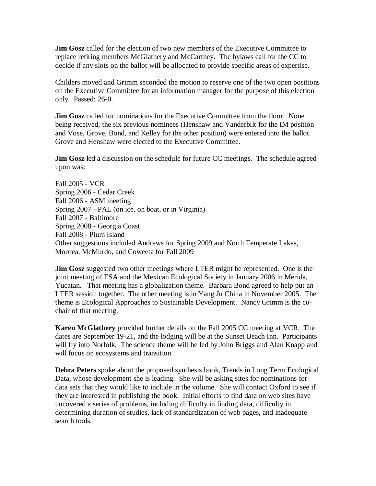**Jim Gosz** called for the election of two new members of the Executive Committee to replace retiring members McGlathery and McCartney. The bylaws call for the CC to decide if any slots on the ballot will be allocated to provide specific areas of expertise.

Childers moved and Grimm seconded the motion to reserve one of the two open positions on the Executive Committee for an information manager for the purpose of this election only. Passed: 26-0.

**Jim Gosz** called for nominations for the Executive Committee from the floor. None being received, the six previous nominees (Henshaw and Vanderbilt for the IM position and Vose, Grove, Bond, and Kelley for the other position) were entered into the ballot. Grove and Henshaw were elected to the Executive Committee.

**Jim Gosz** led a discussion on the schedule for future CC meetings. The schedule agreed upon was:

Fall 2005 - VCR Spring 2006 - Cedar Creek Fall 2006 - ASM meeting Spring 2007 - PAL (on ice, on boat, or in Virginia) Fall 2007 - Baltimore Spring 2008 - Georgia Coast Fall 2008 - Plum Island Other suggestions included Andrews for Spring 2009 and North Temperate Lakes, Moorea, McMurdo, and Coweeta for Fall 2009

**Jim Gosz** suggested two other meetings where LTER might be represented. One is the joint meeting of ESA and the Mexican Ecological Society in January 2006 in Merida, Yucatan. That meeting has a globalization theme. Barbara Bond agreed to help put an LTER session together. The other meeting is in Yang Ju China in November 2005. The theme is Ecological Approaches to Sustainable Development. Nancy Grimm is the cochair of that meeting.

**Karen McGlathery** provided further details on the Fall 2005 CC meeting at VCR. The dates are September 19-21, and the lodging will be at the Sunset Beach Inn. Participants will fly into Norfolk. The science theme will be led by John Briggs and Alan Knapp and will focus on ecosystems and transition.

**Debra Peters** spoke about the proposed synthesis book, Trends in Long Term Ecological Data, whose development she is leading. She will be asking sites for nominations for data sets that they would like to include in the volume. She will contact Oxford to see if they are interested in publishing the book. Initial efforts to find data on web sites have uncovered a series of problems, including difficulty in finding data, difficulty in determining duration of studies, lack of standardization of web pages, and inadequate search tools.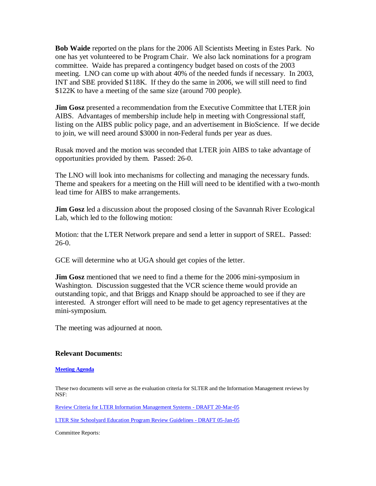**Bob Waide** reported on the plans for the 2006 All Scientists Meeting in Estes Park. No one has yet volunteered to be Program Chair. We also lack nominations for a program committee. Waide has prepared a contingency budget based on costs of the 2003 meeting. LNO can come up with about 40% of the needed funds if necessary. In 2003, INT and SBE provided \$118K. If they do the same in 2006, we will still need to find \$122K to have a meeting of the same size (around 700 people).

**Jim Gosz** presented a recommendation from the Executive Committee that LTER join AIBS. Advantages of membership include help in meeting with Congressional staff, listing on the AIBS public policy page, and an advertisement in BioScience. If we decide to join, we will need around \$3000 in non-Federal funds per year as dues.

Rusak moved and the motion was seconded that LTER join AIBS to take advantage of opportunities provided by them. Passed: 26-0.

The LNO will look into mechanisms for collecting and managing the necessary funds. Theme and speakers for a meeting on the Hill will need to be identified with a two-month lead time for AIBS to make arrangements.

**Jim Gosz** led a discussion about the proposed closing of the Savannah River Ecological Lab, which led to the following motion:

Motion: that the LTER Network prepare and send a letter in support of SREL. Passed: 26-0.

GCE will determine who at UGA should get copies of the letter.

**Jim Gosz** mentioned that we need to find a theme for the 2006 mini-symposium in Washington. Discussion suggested that the VCR science theme would provide an outstanding topic, and that Briggs and Knapp should be approached to see if they are interested. A stronger effort will need to be made to get agency representatives at the mini-symposium.

The meeting was adjourned at noon.

## **Relevant Documents:**

## **[Meeting Agenda](http://intranet.lternet.edu/committees/coordinating/spring05mtg/CCagenda4_05.doc)**

These two documents will serve as the evaluation criteria for SLTER and the Information Management reviews by NSF:

[Review Criteria for LTER Information Management Systems -](http://intranet.lternet.edu/committees/coordinating/spring05mtg/SiteEval_20050320.doc) DRAFT 20-Mar-05

[LTER Site Schoolyard Education Program Review Guidelines -](http://intranet.lternet.edu/committees/coordinating/spring05mtg/SLTER%20Education%20Review%20Guidelines_Jan5.doc) DRAFT 05-Jan-05

Committee Reports: